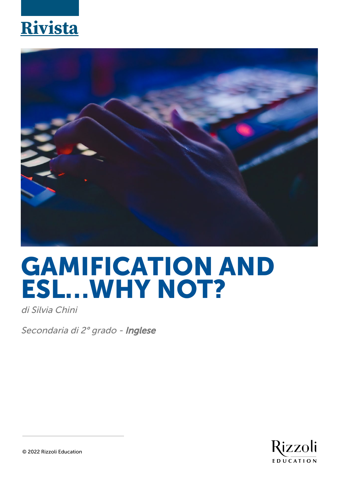## **Rivista**



## **GAMIFICATION AND ESL…WHY NOT?**

di Silvia Chini

Secondaria di 2º grado - Inglese